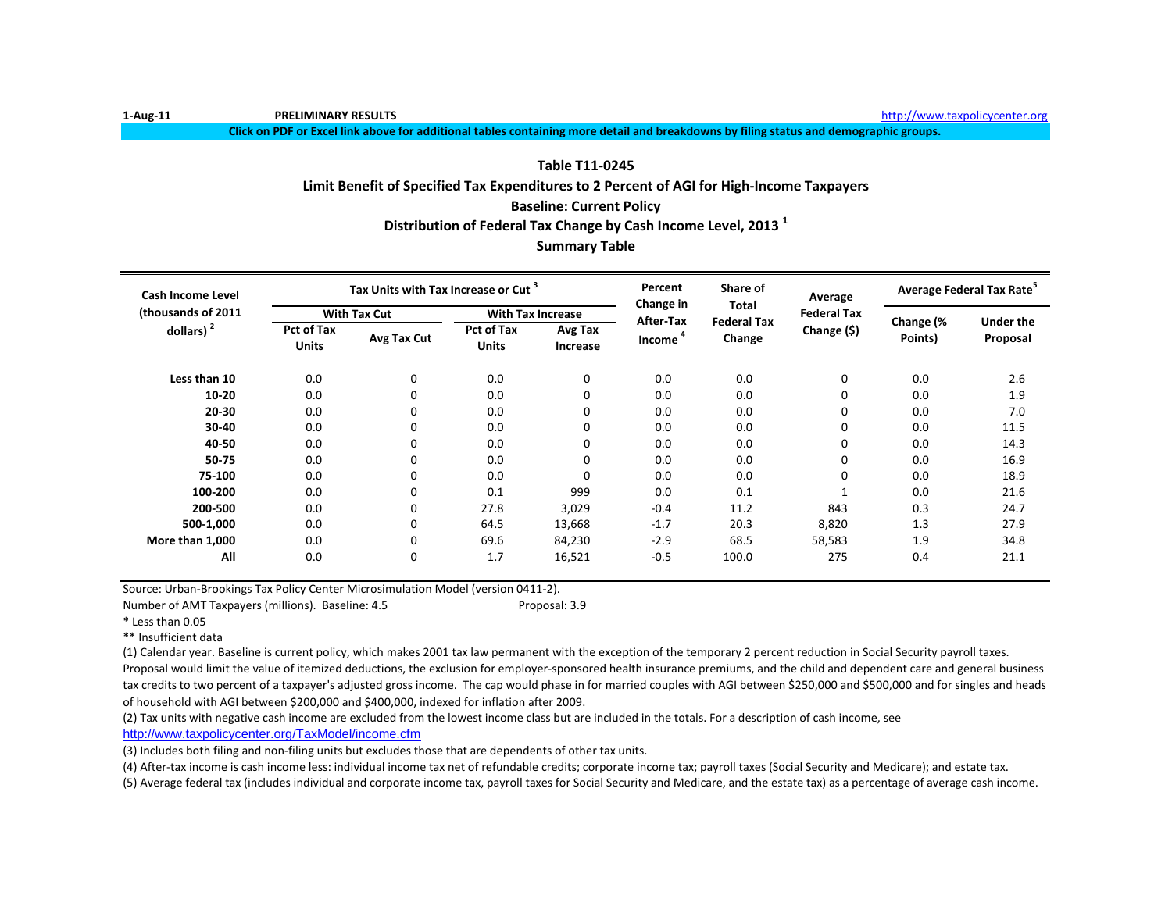**1-Aug-11 PRELIMINARY RESULTS** [http://www.ta](http://www.taxpolicycenter.org/)xpolicycenter.org

**Click on PDF or Excel link above for additional tables containing more detail and breakdowns by filing status and demographic groups.**

# **Baseline: Current Policy Distribution of Federal Tax Change by Cash Income Level, 2013 <sup>1</sup> Table T11-0245 Limit Benefit of Specified Tax Expenditures to 2 Percent of AGI for High-Income Taxpayers**

# **Summary Table**

| <b>Cash Income Level</b> |                                   | Tax Units with Tax Increase or Cut <sup>3</sup> |                                   |                     | Percent<br>Change in | Share of<br><b>Total</b>     | Average            | Average Federal Tax Rate <sup>5</sup> |                  |
|--------------------------|-----------------------------------|-------------------------------------------------|-----------------------------------|---------------------|----------------------|------------------------------|--------------------|---------------------------------------|------------------|
| (thousands of 2011       |                                   | <b>With Tax Cut</b>                             | <b>With Tax Increase</b>          |                     | After-Tax            |                              | <b>Federal Tax</b> |                                       | <b>Under the</b> |
| dollars) $2$             | <b>Pct of Tax</b><br><b>Units</b> | Avg Tax Cut                                     | <b>Pct of Tax</b><br><b>Units</b> | Avg Tax<br>Increase | Income               | <b>Federal Tax</b><br>Change | Change (\$)        | Change (%<br>Points)                  | Proposal         |
| Less than 10             | 0.0                               | $\mathbf 0$                                     | 0.0                               | $\mathbf 0$         | 0.0                  | 0.0                          | 0                  | 0.0                                   | 2.6              |
| $10 - 20$                | 0.0                               | 0                                               | 0.0                               | 0                   | 0.0                  | 0.0                          | 0                  | 0.0                                   | 1.9              |
| 20-30                    | 0.0                               | 0                                               | 0.0                               | $\Omega$            | 0.0                  | 0.0                          | 0                  | 0.0                                   | 7.0              |
| 30-40                    | 0.0                               | 0                                               | 0.0                               | $\Omega$            | 0.0                  | 0.0                          | 0                  | 0.0                                   | 11.5             |
| 40-50                    | 0.0                               | 0                                               | 0.0                               | $\Omega$            | 0.0                  | 0.0                          | 0                  | 0.0                                   | 14.3             |
| 50-75                    | 0.0                               | 0                                               | 0.0                               | $\Omega$            | 0.0                  | 0.0                          | 0                  | 0.0                                   | 16.9             |
| 75-100                   | 0.0                               | 0                                               | 0.0                               | $\Omega$            | 0.0                  | 0.0                          | 0                  | 0.0                                   | 18.9             |
| 100-200                  | 0.0                               | 0                                               | 0.1                               | 999                 | 0.0                  | 0.1                          |                    | 0.0                                   | 21.6             |
| 200-500                  | 0.0                               | 0                                               | 27.8                              | 3,029               | $-0.4$               | 11.2                         | 843                | 0.3                                   | 24.7             |
| 500-1,000                | 0.0                               | 0                                               | 64.5                              | 13,668              | $-1.7$               | 20.3                         | 8,820              | 1.3                                   | 27.9             |
| More than 1,000          | 0.0                               | 0                                               | 69.6                              | 84,230              | $-2.9$               | 68.5                         | 58,583             | 1.9                                   | 34.8             |
| All                      | 0.0                               | 0                                               | 1.7                               | 16,521              | $-0.5$               | 100.0                        | 275                | 0.4                                   | 21.1             |

Source: Urban-Brookings Tax Policy Center Microsimulation Model (version 0411-2).

Number of AMT Taxpayers (millions). Baseline: 4.5 Proposal: 3.9

\* Less than 0.05

\*\* Insufficient data

(1) Calendar year. Baseline is current policy, which makes 2001 tax law permanent with the exception of the temporary 2 percent reduction in Social Security payroll taxes.

Proposal would limit the value of itemized deductions, the exclusion for employer-sponsored health insurance premiums, and the child and dependent care and general business tax credits to two percent of a taxpayer's adjusted gross income. The cap would phase in for married couples with AGI between \$250,000 and \$500,000 and for singles and heads of household with AGI between \$200,000 and \$400,000, indexed for inflation after 2009.

(2) Tax units with negative cash income are excluded from the lowest income class but are included in the totals. For a description of cash income, see

[http://www.taxpolicycente](http://www.taxpolicycenter.org/TaxModel/income.cfm)r.org/TaxModel/income.cfm

(3) Includes both filing and non-filing units but excludes those that are dependents of other tax units.

(4) After-tax income is cash income less: individual income tax net of refundable credits; corporate income tax; payroll taxes (Social Security and Medicare); and estate tax.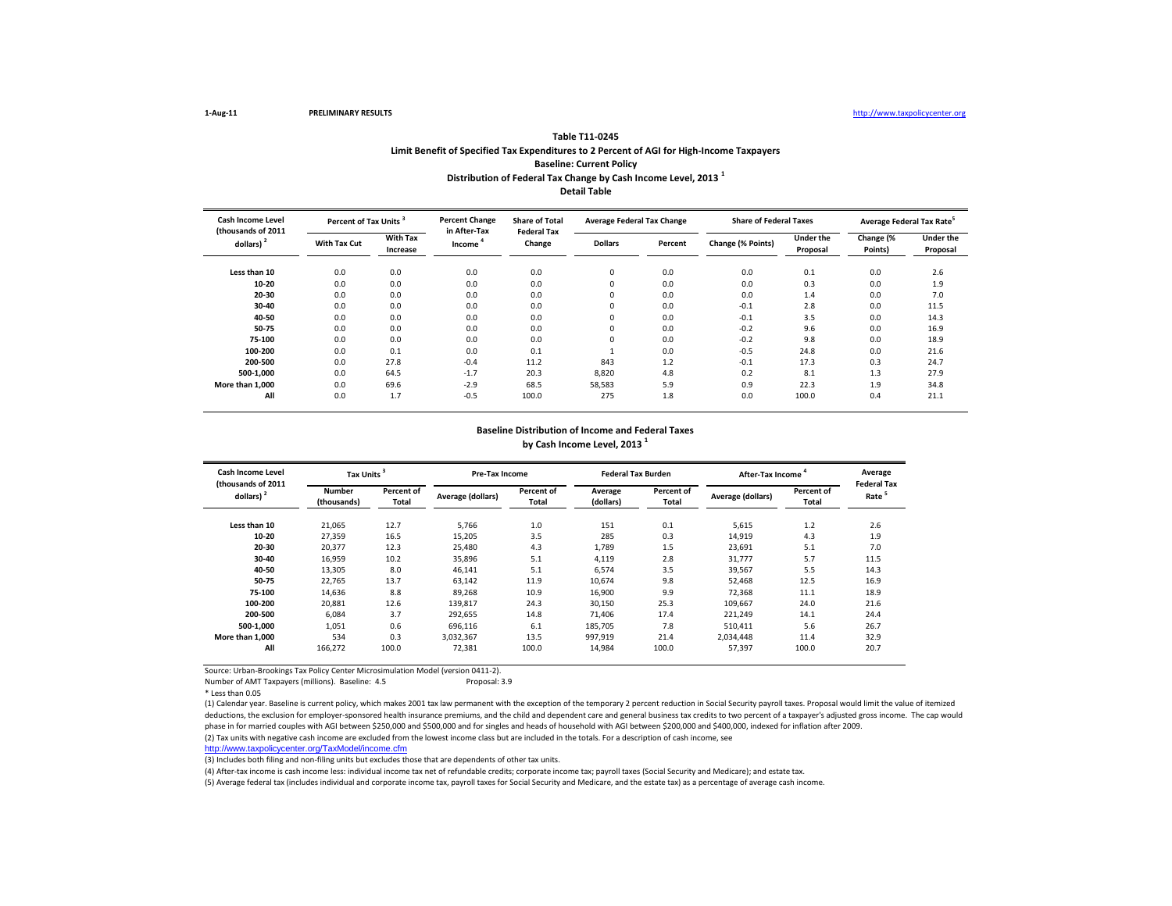#### **Distribution of Federal Tax Change by Cash Income Level, 2013 <sup>1</sup> Detail Table Table T11-0245 Limit Benefit of Specified Tax Expenditures to 2 Percent of AGI for High-Income Taxpayers Baseline: Current Policy**

| <b>Cash Income Level</b><br>(thousands of 2011 |              | Percent of Tax Units <sup>3</sup> |                                     | <b>Share of Total</b><br><b>Federal Tax</b> | <b>Average Federal Tax Change</b> |         | <b>Share of Federal Taxes</b> |                              | Average Federal Tax Rate <sup>5</sup> |                              |
|------------------------------------------------|--------------|-----------------------------------|-------------------------------------|---------------------------------------------|-----------------------------------|---------|-------------------------------|------------------------------|---------------------------------------|------------------------------|
| dollars) $2$                                   | With Tax Cut | <b>With Tax</b><br>Increase       | in After-Tax<br>Income <sup>4</sup> | Change                                      | <b>Dollars</b>                    | Percent | Change (% Points)             | <b>Under the</b><br>Proposal | Change (%<br>Points)                  | <b>Under the</b><br>Proposal |
| Less than 10                                   | 0.0          | 0.0                               | 0.0                                 | 0.0                                         | 0                                 | 0.0     | 0.0                           | 0.1                          | 0.0                                   | 2.6                          |
| 10-20                                          | 0.0          | 0.0                               | 0.0                                 | 0.0                                         |                                   | 0.0     | 0.0                           | 0.3                          | 0.0                                   | 1.9                          |
| 20-30                                          | 0.0          | 0.0                               | 0.0                                 | 0.0                                         | $\Omega$                          | 0.0     | 0.0                           | 1.4                          | 0.0                                   | 7.0                          |
| 30-40                                          | 0.0          | 0.0                               | 0.0                                 | 0.0                                         | $\Omega$                          | 0.0     | $-0.1$                        | 2.8                          | 0.0                                   | 11.5                         |
| 40-50                                          | 0.0          | 0.0                               | 0.0                                 | 0.0                                         | $\Omega$                          | 0.0     | $-0.1$                        | 3.5                          | 0.0                                   | 14.3                         |
| 50-75                                          | 0.0          | 0.0                               | 0.0                                 | 0.0                                         | $\Omega$                          | 0.0     | $-0.2$                        | 9.6                          | 0.0                                   | 16.9                         |
| 75-100                                         | 0.0          | 0.0                               | 0.0                                 | 0.0                                         | $\Omega$                          | 0.0     | $-0.2$                        | 9.8                          | 0.0                                   | 18.9                         |
| 100-200                                        | 0.0          | 0.1                               | 0.0                                 | 0.1                                         |                                   | 0.0     | $-0.5$                        | 24.8                         | 0.0                                   | 21.6                         |
| 200-500                                        | 0.0          | 27.8                              | $-0.4$                              | 11.2                                        | 843                               | 1.2     | $-0.1$                        | 17.3                         | 0.3                                   | 24.7                         |
| 500-1.000                                      | 0.0          | 64.5                              | $-1.7$                              | 20.3                                        | 8,820                             | 4.8     | 0.2                           | 8.1                          | 1.3                                   | 27.9                         |
| More than 1,000                                | 0.0          | 69.6                              | $-2.9$                              | 68.5                                        | 58,583                            | 5.9     | 0.9                           | 22.3                         | 1.9                                   | 34.8                         |
| All                                            | 0.0          | 1.7                               | $-0.5$                              | 100.0                                       | 275                               | 1.8     | 0.0                           | 100.0                        | 0.4                                   | 21.1                         |

#### **Baseline Distribution of Income and Federal Taxes by Cash Income Level, 2013 <sup>1</sup>**

| Cash Income Level<br>(thousands of 2011 | Tax Units <sup>3</sup> |                     | <b>Pre-Tax Income</b> |                     | <b>Federal Tax Burden</b> |                     | After-Tax Income <sup>4</sup> |                            | Average<br><b>Federal Tax</b> |
|-----------------------------------------|------------------------|---------------------|-----------------------|---------------------|---------------------------|---------------------|-------------------------------|----------------------------|-------------------------------|
| dollars) $2$                            | Number<br>(thousands)  | Percent of<br>Total | Average (dollars)     | Percent of<br>Total | Average<br>(dollars)      | Percent of<br>Total | Average (dollars)             | <b>Percent of</b><br>Total | Rate <sup>5</sup>             |
| Less than 10                            | 21,065                 | 12.7                | 5.766                 | 1.0                 | 151                       | 0.1                 | 5,615                         | 1.2                        | 2.6                           |
| 10-20                                   | 27,359                 | 16.5                | 15.205                | 3.5                 | 285                       | 0.3                 | 14,919                        | 4.3                        | 1.9                           |
| 20-30                                   | 20,377                 | 12.3                | 25.480                | 4.3                 | 1,789                     | 1.5                 | 23,691                        | 5.1                        | 7.0                           |
| 30-40                                   | 16,959                 | 10.2                | 35.896                | 5.1                 | 4,119                     | 2.8                 | 31,777                        | 5.7                        | 11.5                          |
| 40-50                                   | 13,305                 | 8.0                 | 46,141                | 5.1                 | 6,574                     | 3.5                 | 39,567                        | 5.5                        | 14.3                          |
| 50-75                                   | 22,765                 | 13.7                | 63,142                | 11.9                | 10,674                    | 9.8                 | 52,468                        | 12.5                       | 16.9                          |
| 75-100                                  | 14,636                 | 8.8                 | 89,268                | 10.9                | 16,900                    | 9.9                 | 72,368                        | 11.1                       | 18.9                          |
| 100-200                                 | 20.881                 | 12.6                | 139,817               | 24.3                | 30.150                    | 25.3                | 109.667                       | 24.0                       | 21.6                          |
| 200-500                                 | 6.084                  | 3.7                 | 292,655               | 14.8                | 71.406                    | 17.4                | 221,249                       | 14.1                       | 24.4                          |
| 500-1.000                               | 1,051                  | 0.6                 | 696,116               | 6.1                 | 185,705                   | 7.8                 | 510.411                       | 5.6                        | 26.7                          |
| More than 1.000                         | 534                    | 0.3                 | 3.032.367             | 13.5                | 997,919                   | 21.4                | 2.034.448                     | 11.4                       | 32.9                          |
| All                                     | 166,272                | 100.0               | 72,381                | 100.0               | 14,984                    | 100.0               | 57,397                        | 100.0                      | 20.7                          |

Source: Urban-Brookings Tax Policy Center Microsimulation Model (version 0411-2).

Number of AMT Taxpayers (millions). Baseline: 4.5

\* Less than 0.05

(1) Calendar year. Baseline is current policy, which makes 2001 tax law permanent with the exception of the temporary 2 percent reduction in Social Security payroll taxes. Proposal would limit the value of itemized deductions, the exclusion for employer-sponsored health insurance premiums, and the child and dependent care and general business tax credits to two percent of a taxpayer's adjusted gross income. The cap would phase in for married couples with AGI between \$250,000 and \$500,000 and for singles and heads of household with AGI between \$200,000 and \$400,000, indexed for inflation after 2009. (2) Tax units with negative cash income are excluded from the lowest income class but are included in the totals. For a description of cash income, see

[http://www.taxpolicycente](http://www.taxpolicycenter.org/TaxModel/income.cfm)r.org/TaxModel/income.cfm

(3) Includes both filing and non-filing units but excludes those that are dependents of other tax units.

(4) After-tax income is cash income less: individual income tax net of refundable credits; corporate income tax; payroll taxes (Social Security and Medicare); and estate tax.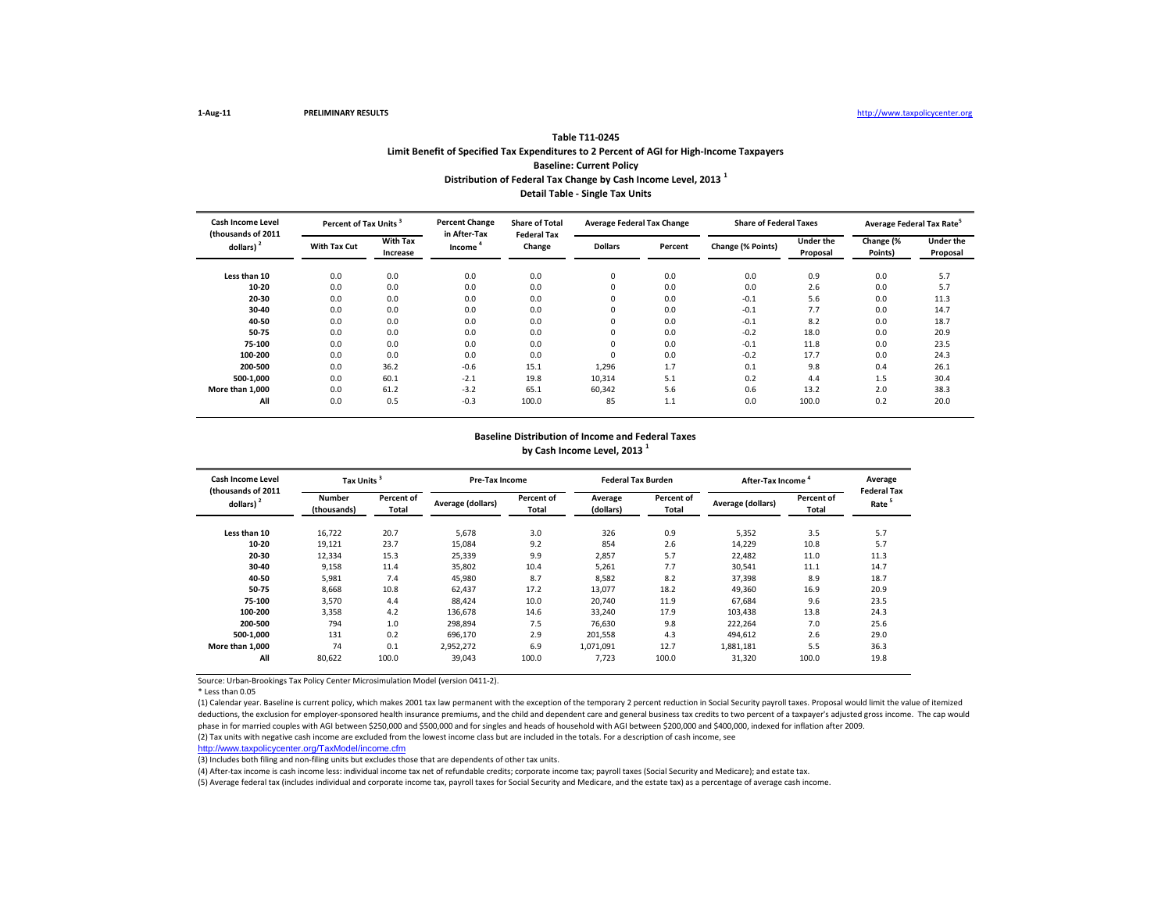# **Distribution of Federal Tax Change by Cash Income Level, 2013 <sup>1</sup> Detail Table - Single Tax Units Table T11-0245 Limit Benefit of Specified Tax Expenditures to 2 Percent of AGI for High-Income Taxpayers Baseline: Current Policy**

| <b>Cash Income Level</b><br>(thousands of 2011 |                     | Percent of Tax Units        |                        | <b>Share of Total</b><br><b>Federal Tax</b> | <b>Average Federal Tax Change</b> |         | <b>Share of Federal Taxes</b> |                              | Average Federal Tax Rate |                              |
|------------------------------------------------|---------------------|-----------------------------|------------------------|---------------------------------------------|-----------------------------------|---------|-------------------------------|------------------------------|--------------------------|------------------------------|
| dollars) <sup>2</sup>                          | <b>With Tax Cut</b> | <b>With Tax</b><br>Increase | in After-Tax<br>Income | Change                                      | <b>Dollars</b>                    | Percent | Change (% Points)             | <b>Under the</b><br>Proposal | Change (%<br>Points)     | <b>Under the</b><br>Proposal |
| Less than 10                                   | 0.0                 | 0.0                         | 0.0                    | 0.0                                         | 0                                 | 0.0     | 0.0                           | 0.9                          | 0.0                      | 5.7                          |
| 10-20                                          | 0.0                 | 0.0                         | 0.0                    | 0.0                                         | 0                                 | 0.0     | 0.0                           | 2.6                          | 0.0                      | 5.7                          |
| 20-30                                          | 0.0                 | 0.0                         | 0.0                    | 0.0                                         |                                   | 0.0     | $-0.1$                        | 5.6                          | 0.0                      | 11.3                         |
| 30-40                                          | 0.0                 | 0.0                         | 0.0                    | 0.0                                         |                                   | 0.0     | $-0.1$                        | 7.7                          | 0.0                      | 14.7                         |
| 40-50                                          | 0.0                 | 0.0                         | 0.0                    | 0.0                                         |                                   | 0.0     | $-0.1$                        | 8.2                          | 0.0                      | 18.7                         |
| 50-75                                          | 0.0                 | 0.0                         | 0.0                    | 0.0                                         |                                   | 0.0     | $-0.2$                        | 18.0                         | 0.0                      | 20.9                         |
| 75-100                                         | 0.0                 | 0.0                         | 0.0                    | 0.0                                         | $\Omega$                          | 0.0     | $-0.1$                        | 11.8                         | 0.0                      | 23.5                         |
| 100-200                                        | 0.0                 | 0.0                         | 0.0                    | 0.0                                         | $\Omega$                          | 0.0     | $-0.2$                        | 17.7                         | 0.0                      | 24.3                         |
| 200-500                                        | 0.0                 | 36.2                        | $-0.6$                 | 15.1                                        | 1,296                             | 1.7     | 0.1                           | 9.8                          | 0.4                      | 26.1                         |
| 500-1,000                                      | 0.0                 | 60.1                        | $-2.1$                 | 19.8                                        | 10,314                            | 5.1     | 0.2                           | 4.4                          | 1.5                      | 30.4                         |
| More than 1,000                                | 0.0                 | 61.2                        | $-3.2$                 | 65.1                                        | 60,342                            | 5.6     | 0.6                           | 13.2                         | 2.0                      | 38.3                         |
| All                                            | 0.0                 | 0.5                         | $-0.3$                 | 100.0                                       | 85                                | 1.1     | 0.0                           | 100.0                        | 0.2                      | 20.0                         |

## **Baseline Distribution of Income and Federal Taxes by Cash Income Level, 2013 <sup>1</sup>**

| <b>Cash Income Level</b>                    | <b>Tax Units</b>             |                     | <b>Pre-Tax Income</b> |                     |                      | <b>Federal Tax Burden</b> | After-Tax Income  |                     | Average                                 |
|---------------------------------------------|------------------------------|---------------------|-----------------------|---------------------|----------------------|---------------------------|-------------------|---------------------|-----------------------------------------|
| (thousands of 2011<br>dollars) <sup>2</sup> | <b>Number</b><br>(thousands) | Percent of<br>Total | Average (dollars)     | Percent of<br>Total | Average<br>(dollars) | Percent of<br>Total       | Average (dollars) | Percent of<br>Total | <b>Federal Tax</b><br>Rate <sup>5</sup> |
| Less than 10                                | 16,722                       | 20.7                | 5,678                 | 3.0                 | 326                  | 0.9                       | 5,352             | 3.5                 | 5.7                                     |
| 10-20                                       | 19,121                       | 23.7                | 15,084                | 9.2                 | 854                  | 2.6                       | 14,229            | 10.8                | 5.7                                     |
| 20-30                                       | 12,334                       | 15.3                | 25,339                | 9.9                 | 2,857                | 5.7                       | 22,482            | 11.0                | 11.3                                    |
| 30-40                                       | 9,158                        | 11.4                | 35,802                | 10.4                | 5,261                | 7.7                       | 30,541            | 11.1                | 14.7                                    |
| 40-50                                       | 5,981                        | 7.4                 | 45,980                | 8.7                 | 8,582                | 8.2                       | 37,398            | 8.9                 | 18.7                                    |
| 50-75                                       | 8,668                        | 10.8                | 62,437                | 17.2                | 13,077               | 18.2                      | 49,360            | 16.9                | 20.9                                    |
| 75-100                                      | 3,570                        | 4.4                 | 88,424                | 10.0                | 20,740               | 11.9                      | 67,684            | 9.6                 | 23.5                                    |
| 100-200                                     | 3,358                        | 4.2                 | 136,678               | 14.6                | 33,240               | 17.9                      | 103,438           | 13.8                | 24.3                                    |
| 200-500                                     | 794                          | 1.0                 | 298.894               | 7.5                 | 76.630               | 9.8                       | 222,264           | 7.0                 | 25.6                                    |
| 500-1.000                                   | 131                          | 0.2                 | 696,170               | 2.9                 | 201,558              | 4.3                       | 494,612           | 2.6                 | 29.0                                    |
| More than 1.000                             | 74                           | 0.1                 | 2,952,272             | 6.9                 | 1,071,091            | 12.7                      | 1,881,181         | 5.5                 | 36.3                                    |
| All                                         | 80,622                       | 100.0               | 39,043                | 100.0               | 7,723                | 100.0                     | 31,320            | 100.0               | 19.8                                    |

Source: Urban-Brookings Tax Policy Center Microsimulation Model (version 0411-2).

\* Less than 0.05

(1) Calendar year. Baseline is current policy, which makes 2001 tax law permanent with the exception of the temporary 2 percent reduction in Social Security payroll taxes. Proposal would limit the value of itemized deductions, the exclusion for employer-sponsored health insurance premiums, and the child and dependent care and general business tax credits to two percent of a taxpayer's adjusted gross income. The cap would phase in for married couples with AGI between \$250,000 and \$500,000 and for singles and heads of household with AGI between \$200,000 and \$400,000, indexed for inflation after 2009. (2) Tax units with negative cash income are excluded from the lowest income class but are included in the totals. For a description of cash income, see

[http://www.taxpolicycent](http://www.taxpolicycenter.org/TaxModel/income.cfm)er.org/TaxModel/income.cfm

(3) Includes both filing and non-filing units but excludes those that are dependents of other tax units.

(4) After-tax income is cash income less: individual income tax net of refundable credits; corporate income tax; payroll taxes (Social Security and Medicare); and estate tax.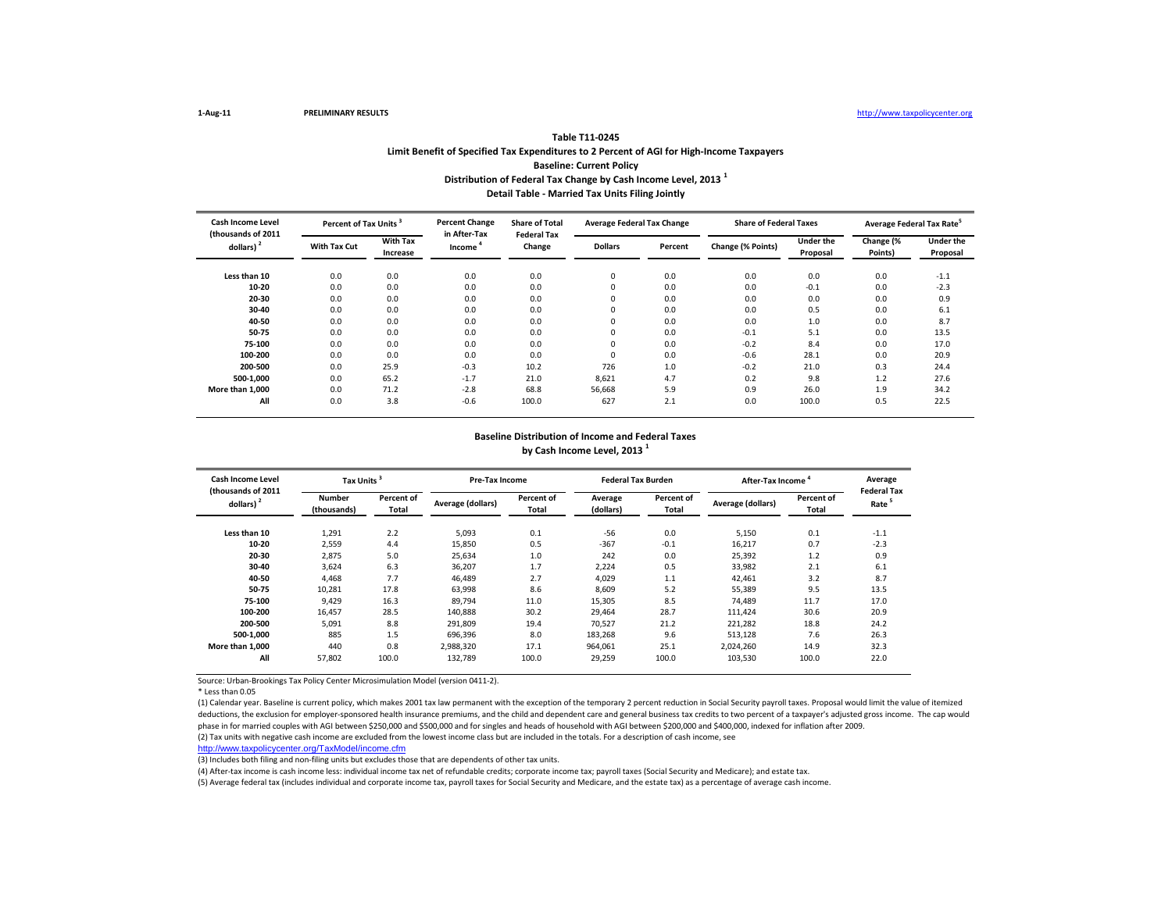# **Distribution of Federal Tax Change by Cash Income Level, 2013 <sup>1</sup> Detail Table - Married Tax Units Filing Jointly Table T11-0245 Limit Benefit of Specified Tax Expenditures to 2 Percent of AGI for High-Income Taxpayers Baseline: Current Policy**

| <b>Cash Income Level</b><br>(thousands of 2011 |                     | Percent of Tax Units        |                        | <b>Share of Total</b><br><b>Federal Tax</b> | <b>Average Federal Tax Change</b> |         | <b>Share of Federal Taxes</b> |                              | Average Federal Tax Rate |                              |
|------------------------------------------------|---------------------|-----------------------------|------------------------|---------------------------------------------|-----------------------------------|---------|-------------------------------|------------------------------|--------------------------|------------------------------|
| dollars) <sup>2</sup>                          | <b>With Tax Cut</b> | <b>With Tax</b><br>Increase | in After-Tax<br>Income | Change                                      | <b>Dollars</b>                    | Percent | Change (% Points)             | <b>Under the</b><br>Proposal | Change (%<br>Points)     | <b>Under the</b><br>Proposal |
| Less than 10                                   | 0.0                 | 0.0                         | 0.0                    | 0.0                                         | 0                                 | 0.0     | 0.0                           | 0.0                          | 0.0                      | $-1.1$                       |
| 10-20                                          | 0.0                 | 0.0                         | 0.0                    | 0.0                                         |                                   | 0.0     | 0.0                           | $-0.1$                       | 0.0                      | $-2.3$                       |
| 20-30                                          | 0.0                 | 0.0                         | 0.0                    | 0.0                                         |                                   | 0.0     | 0.0                           | 0.0                          | 0.0                      | 0.9                          |
| 30-40                                          | 0.0                 | 0.0                         | 0.0                    | 0.0                                         |                                   | 0.0     | 0.0                           | 0.5                          | 0.0                      | 6.1                          |
| 40-50                                          | 0.0                 | 0.0                         | 0.0                    | 0.0                                         |                                   | 0.0     | 0.0                           | 1.0                          | 0.0                      | 8.7                          |
| 50-75                                          | 0.0                 | 0.0                         | 0.0                    | 0.0                                         |                                   | 0.0     | $-0.1$                        | 5.1                          | 0.0                      | 13.5                         |
| 75-100                                         | 0.0                 | 0.0                         | 0.0                    | 0.0                                         | $\Omega$                          | 0.0     | $-0.2$                        | 8.4                          | 0.0                      | 17.0                         |
| 100-200                                        | 0.0                 | 0.0                         | 0.0                    | 0.0                                         | $\Omega$                          | 0.0     | $-0.6$                        | 28.1                         | 0.0                      | 20.9                         |
| 200-500                                        | 0.0                 | 25.9                        | $-0.3$                 | 10.2                                        | 726                               | 1.0     | $-0.2$                        | 21.0                         | 0.3                      | 24.4                         |
| 500-1,000                                      | 0.0                 | 65.2                        | $-1.7$                 | 21.0                                        | 8,621                             | 4.7     | 0.2                           | 9.8                          | 1.2                      | 27.6                         |
| More than 1,000                                | 0.0                 | 71.2                        | $-2.8$                 | 68.8                                        | 56,668                            | 5.9     | 0.9                           | 26.0                         | 1.9                      | 34.2                         |
| All                                            | 0.0                 | 3.8                         | $-0.6$                 | 100.0                                       | 627                               | 2.1     | 0.0                           | 100.0                        | 0.5                      | 22.5                         |

## **Baseline Distribution of Income and Federal Taxes by Cash Income Level, 2013 <sup>1</sup>**

| <b>Cash Income Level</b>                    | <b>Tax Units</b>             |                     | <b>Pre-Tax Income</b> |                     |                      | <b>Federal Tax Burden</b> | After-Tax Income  |                     | Average                                 |
|---------------------------------------------|------------------------------|---------------------|-----------------------|---------------------|----------------------|---------------------------|-------------------|---------------------|-----------------------------------------|
| (thousands of 2011<br>dollars) <sup>2</sup> | <b>Number</b><br>(thousands) | Percent of<br>Total | Average (dollars)     | Percent of<br>Total | Average<br>(dollars) | Percent of<br>Total       | Average (dollars) | Percent of<br>Total | <b>Federal Tax</b><br>Rate <sup>5</sup> |
| Less than 10                                | 1,291                        | 2.2                 | 5,093                 | 0.1                 | $-56$                | 0.0                       | 5,150             | 0.1                 | $-1.1$                                  |
| 10-20                                       | 2,559                        | 4.4                 | 15,850                | 0.5                 | $-367$               | $-0.1$                    | 16,217            | 0.7                 | $-2.3$                                  |
| 20-30                                       | 2,875                        | 5.0                 | 25,634                | 1.0                 | 242                  | 0.0                       | 25,392            | 1.2                 | 0.9                                     |
| 30-40                                       | 3,624                        | 6.3                 | 36,207                | 1.7                 | 2,224                | 0.5                       | 33,982            | 2.1                 | 6.1                                     |
| 40-50                                       | 4,468                        | 7.7                 | 46,489                | 2.7                 | 4,029                | 1.1                       | 42,461            | 3.2                 | 8.7                                     |
| 50-75                                       | 10,281                       | 17.8                | 63,998                | 8.6                 | 8,609                | 5.2                       | 55,389            | 9.5                 | 13.5                                    |
| 75-100                                      | 9,429                        | 16.3                | 89,794                | 11.0                | 15,305               | 8.5                       | 74,489            | 11.7                | 17.0                                    |
| 100-200                                     | 16.457                       | 28.5                | 140,888               | 30.2                | 29,464               | 28.7                      | 111,424           | 30.6                | 20.9                                    |
| 200-500                                     | 5.091                        | 8.8                 | 291.809               | 19.4                | 70,527               | 21.2                      | 221,282           | 18.8                | 24.2                                    |
| 500-1.000                                   | 885                          | 1.5                 | 696,396               | 8.0                 | 183,268              | 9.6                       | 513,128           | 7.6                 | 26.3                                    |
| More than 1.000                             | 440                          | 0.8                 | 2,988,320             | 17.1                | 964,061              | 25.1                      | 2,024,260         | 14.9                | 32.3                                    |
| All                                         | 57,802                       | 100.0               | 132,789               | 100.0               | 29,259               | 100.0                     | 103,530           | 100.0               | 22.0                                    |

Source: Urban-Brookings Tax Policy Center Microsimulation Model (version 0411-2).

\* Less than 0.05

(1) Calendar year. Baseline is current policy, which makes 2001 tax law permanent with the exception of the temporary 2 percent reduction in Social Security payroll taxes. Proposal would limit the value of itemized deductions, the exclusion for employer-sponsored health insurance premiums, and the child and dependent care and general business tax credits to two percent of a taxpayer's adjusted gross income. The cap would phase in for married couples with AGI between \$250,000 and \$500,000 and for singles and heads of household with AGI between \$200,000 and \$400,000, indexed for inflation after 2009. (2) Tax units with negative cash income are excluded from the lowest income class but are included in the totals. For a description of cash income, see

[http://www.taxpolicycent](http://www.taxpolicycenter.org/TaxModel/income.cfm)er.org/TaxModel/income.cfm

(3) Includes both filing and non-filing units but excludes those that are dependents of other tax units.

(4) After-tax income is cash income less: individual income tax net of refundable credits; corporate income tax; payroll taxes (Social Security and Medicare); and estate tax.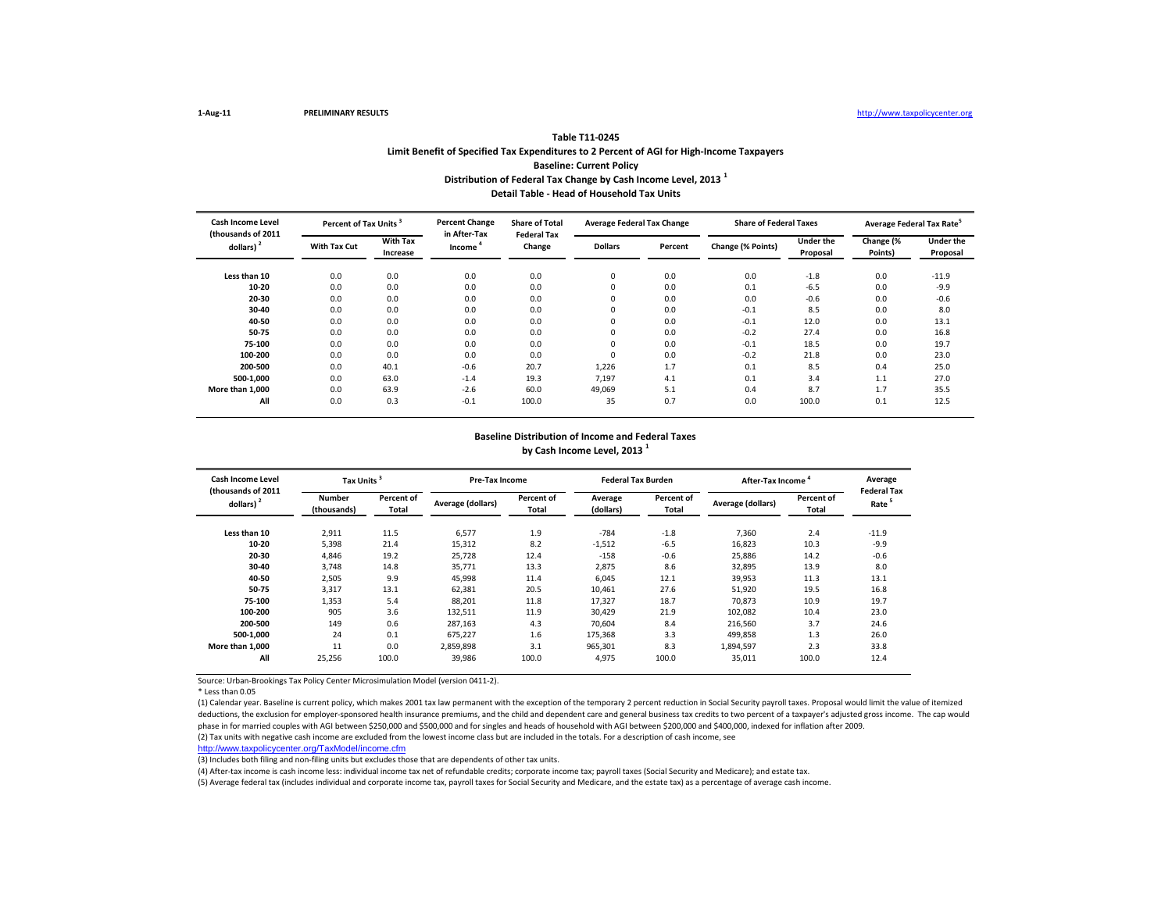# **Distribution of Federal Tax Change by Cash Income Level, 2013 <sup>1</sup> Detail Table - Head of Household Tax Units Table T11-0245 Limit Benefit of Specified Tax Expenditures to 2 Percent of AGI for High-Income Taxpayers Baseline: Current Policy**

| <b>Cash Income Level</b><br>Percent of Tax Units<br>(thousands of 2011 |                     |                             | <b>Percent Change</b><br>in After-Tax | <b>Share of Total</b><br><b>Federal Tax</b> | <b>Average Federal Tax Change</b> |         | <b>Share of Federal Taxes</b> |                              | Average Federal Tax Rate <sup>5</sup> |                              |  |
|------------------------------------------------------------------------|---------------------|-----------------------------|---------------------------------------|---------------------------------------------|-----------------------------------|---------|-------------------------------|------------------------------|---------------------------------------|------------------------------|--|
| dollars) <sup>2</sup>                                                  | <b>With Tax Cut</b> | <b>With Tax</b><br>Increase | Income                                | Change                                      | <b>Dollars</b>                    | Percent | Change (% Points)             | <b>Under the</b><br>Proposal | Change (%<br>Points)                  | <b>Under the</b><br>Proposal |  |
| Less than 10                                                           | 0.0                 | 0.0                         | 0.0                                   | 0.0                                         | 0                                 | 0.0     | 0.0                           | $-1.8$                       | 0.0                                   | $-11.9$                      |  |
| 10-20                                                                  | 0.0                 | 0.0                         | 0.0                                   | 0.0                                         |                                   | 0.0     | 0.1                           | $-6.5$                       | 0.0                                   | $-9.9$                       |  |
| 20-30                                                                  | 0.0                 | 0.0                         | 0.0                                   | 0.0                                         |                                   | 0.0     | 0.0                           | $-0.6$                       | 0.0                                   | $-0.6$                       |  |
| 30-40                                                                  | 0.0                 | 0.0                         | 0.0                                   | 0.0                                         |                                   | 0.0     | $-0.1$                        | 8.5                          | 0.0                                   | 8.0                          |  |
| 40-50                                                                  | 0.0                 | 0.0                         | 0.0                                   | 0.0                                         |                                   | 0.0     | $-0.1$                        | 12.0                         | 0.0                                   | 13.1                         |  |
| 50-75                                                                  | 0.0                 | 0.0                         | 0.0                                   | 0.0                                         |                                   | 0.0     | $-0.2$                        | 27.4                         | 0.0                                   | 16.8                         |  |
| 75-100                                                                 | 0.0                 | 0.0                         | 0.0                                   | 0.0                                         | $\Omega$                          | 0.0     | $-0.1$                        | 18.5                         | 0.0                                   | 19.7                         |  |
| 100-200                                                                | 0.0                 | 0.0                         | 0.0                                   | 0.0                                         | $\Omega$                          | 0.0     | $-0.2$                        | 21.8                         | 0.0                                   | 23.0                         |  |
| 200-500                                                                | 0.0                 | 40.1                        | $-0.6$                                | 20.7                                        | 1,226                             | 1.7     | 0.1                           | 8.5                          | 0.4                                   | 25.0                         |  |
| 500-1,000                                                              | 0.0                 | 63.0                        | $-1.4$                                | 19.3                                        | 7,197                             | 4.1     | 0.1                           | 3.4                          | 1.1                                   | 27.0                         |  |
| More than 1,000                                                        | 0.0                 | 63.9                        | $-2.6$                                | 60.0                                        | 49,069                            | 5.1     | 0.4                           | 8.7                          | 1.7                                   | 35.5                         |  |
| All                                                                    | 0.0                 | 0.3                         | $-0.1$                                | 100.0                                       | 35                                | 0.7     | 0.0                           | 100.0                        | 0.1                                   | 12.5                         |  |

## **Baseline Distribution of Income and Federal Taxes by Cash Income Level, 2013 <sup>1</sup>**

| <b>Cash Income Level</b>                    | <b>Tax Units</b>             |                     | <b>Pre-Tax Income</b> |                     | <b>Federal Tax Burden</b> |                     | After-Tax Income  |                     | Average                                 |
|---------------------------------------------|------------------------------|---------------------|-----------------------|---------------------|---------------------------|---------------------|-------------------|---------------------|-----------------------------------------|
| (thousands of 2011<br>dollars) <sup>2</sup> | <b>Number</b><br>(thousands) | Percent of<br>Total | Average (dollars)     | Percent of<br>Total | Average<br>(dollars)      | Percent of<br>Total | Average (dollars) | Percent of<br>Total | <b>Federal Tax</b><br>Rate <sup>5</sup> |
| Less than 10                                | 2,911                        | 11.5                | 6,577                 | 1.9                 | $-784$                    | $-1.8$              | 7,360             | 2.4                 | $-11.9$                                 |
| 10-20                                       | 5,398                        | 21.4                | 15,312                | 8.2                 | $-1,512$                  | $-6.5$              | 16,823            | 10.3                | $-9.9$                                  |
| 20-30                                       | 4,846                        | 19.2                | 25.728                | 12.4                | $-158$                    | $-0.6$              | 25,886            | 14.2                | $-0.6$                                  |
| 30-40                                       | 3.748                        | 14.8                | 35.771                | 13.3                | 2,875                     | 8.6                 | 32,895            | 13.9                | 8.0                                     |
| 40-50                                       | 2,505                        | 9.9                 | 45,998                | 11.4                | 6,045                     | 12.1                | 39,953            | 11.3                | 13.1                                    |
| 50-75                                       | 3,317                        | 13.1                | 62,381                | 20.5                | 10,461                    | 27.6                | 51,920            | 19.5                | 16.8                                    |
| 75-100                                      | 1,353                        | 5.4                 | 88,201                | 11.8                | 17,327                    | 18.7                | 70,873            | 10.9                | 19.7                                    |
| 100-200                                     | 905                          | 3.6                 | 132,511               | 11.9                | 30,429                    | 21.9                | 102,082           | 10.4                | 23.0                                    |
| 200-500                                     | 149                          | 0.6                 | 287.163               | 4.3                 | 70.604                    | 8.4                 | 216,560           | 3.7                 | 24.6                                    |
| 500-1.000                                   | 24                           | 0.1                 | 675.227               | 1.6                 | 175,368                   | 3.3                 | 499,858           | 1.3                 | 26.0                                    |
| More than 1.000                             | 11                           | 0.0                 | 2,859,898             | 3.1                 | 965,301                   | 8.3                 | 1,894,597         | 2.3                 | 33.8                                    |
| All                                         | 25,256                       | 100.0               | 39,986                | 100.0               | 4,975                     | 100.0               | 35,011            | 100.0               | 12.4                                    |

Source: Urban-Brookings Tax Policy Center Microsimulation Model (version 0411-2).

\* Less than 0.05

(1) Calendar year. Baseline is current policy, which makes 2001 tax law permanent with the exception of the temporary 2 percent reduction in Social Security payroll taxes. Proposal would limit the value of itemized deductions, the exclusion for employer-sponsored health insurance premiums, and the child and dependent care and general business tax credits to two percent of a taxpayer's adjusted gross income. The cap would phase in for married couples with AGI between \$250,000 and \$500,000 and for singles and heads of household with AGI between \$200,000 and \$400,000, indexed for inflation after 2009. (2) Tax units with negative cash income are excluded from the lowest income class but are included in the totals. For a description of cash income, see

[http://www.taxpolicycent](http://www.taxpolicycenter.org/TaxModel/income.cfm)er.org/TaxModel/income.cfm

(3) Includes both filing and non-filing units but excludes those that are dependents of other tax units.

(4) After-tax income is cash income less: individual income tax net of refundable credits; corporate income tax; payroll taxes (Social Security and Medicare); and estate tax.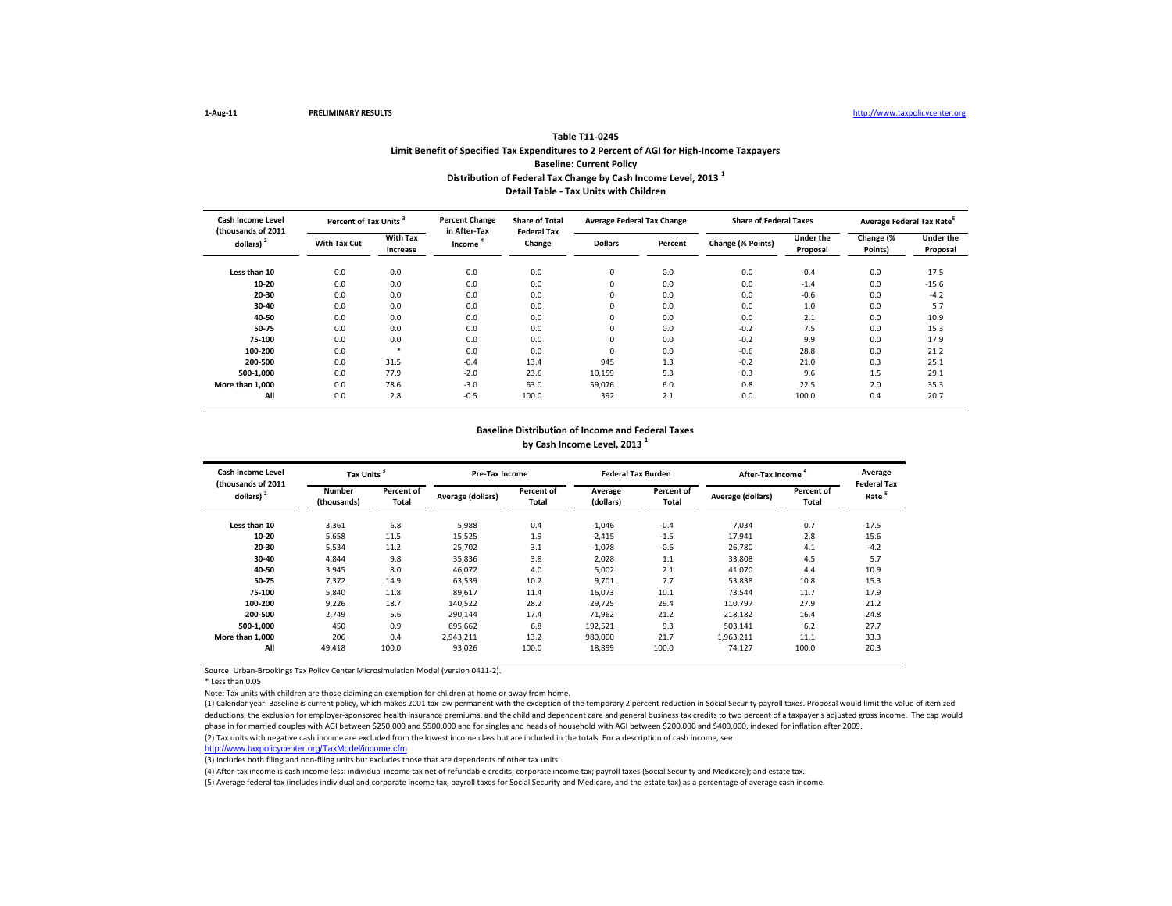## **Distribution of Federal Tax Change by Cash Income Level, 2013 <sup>1</sup> Detail Table - Tax Units with Children Table T11-0245 Limit Benefit of Specified Tax Expenditures to 2 Percent of AGI for High-Income Taxpayers Baseline: Current Policy**

| Cash Income Level<br>(thousands of 2011 | Percent of Tax Units <sup>3</sup> |                             | <b>Percent Change</b><br>in After-Tax | <b>Share of Total</b><br><b>Federal Tax</b> | <b>Average Federal Tax Change</b> |         | <b>Share of Federal Taxes</b> |                              | Average Federal Tax Rate |                              |
|-----------------------------------------|-----------------------------------|-----------------------------|---------------------------------------|---------------------------------------------|-----------------------------------|---------|-------------------------------|------------------------------|--------------------------|------------------------------|
| dollars) <sup>2</sup>                   | <b>With Tax Cut</b>               | <b>With Tax</b><br>Increase | Income <sup>4</sup>                   | Change                                      | <b>Dollars</b>                    | Percent | Change (% Points)             | <b>Under the</b><br>Proposal | Change (%<br>Points)     | <b>Under the</b><br>Proposal |
| Less than 10                            | 0.0                               | 0.0                         | 0.0                                   | 0.0                                         | 0                                 | 0.0     | 0.0                           | $-0.4$                       | 0.0                      | $-17.5$                      |
| 10-20                                   | 0.0                               | 0.0                         | 0.0                                   | 0.0                                         | $\Omega$                          | 0.0     | 0.0                           | $-1.4$                       | 0.0                      | $-15.6$                      |
| 20-30                                   | 0.0                               | 0.0                         | 0.0                                   | 0.0                                         | $\Omega$                          | 0.0     | 0.0                           | $-0.6$                       | 0.0                      | $-4.2$                       |
| 30-40                                   | 0.0                               | 0.0                         | 0.0                                   | 0.0                                         |                                   | 0.0     | 0.0                           | 1.0                          | 0.0                      | 5.7                          |
| 40-50                                   | 0.0                               | 0.0                         | 0.0                                   | 0.0                                         |                                   | 0.0     | 0.0                           | 2.1                          | 0.0                      | 10.9                         |
| 50-75                                   | 0.0                               | 0.0                         | 0.0                                   | 0.0                                         |                                   | 0.0     | $-0.2$                        | 7.5                          | 0.0                      | 15.3                         |
| 75-100                                  | 0.0                               | 0.0                         | 0.0                                   | 0.0                                         |                                   | 0.0     | $-0.2$                        | 9.9                          | 0.0                      | 17.9                         |
| 100-200                                 | 0.0                               |                             | 0.0                                   | 0.0                                         |                                   | 0.0     | $-0.6$                        | 28.8                         | 0.0                      | 21.2                         |
| 200-500                                 | 0.0                               | 31.5                        | $-0.4$                                | 13.4                                        | 945                               | 1.3     | $-0.2$                        | 21.0                         | 0.3                      | 25.1                         |
| 500-1.000                               | 0.0                               | 77.9                        | $-2.0$                                | 23.6                                        | 10,159                            | 5.3     | 0.3                           | 9.6                          | 1.5                      | 29.1                         |
| More than 1.000                         | 0.0                               | 78.6                        | $-3.0$                                | 63.0                                        | 59.076                            | 6.0     | 0.8                           | 22.5                         | 2.0                      | 35.3                         |
| All                                     | 0.0                               | 2.8                         | $-0.5$                                | 100.0                                       | 392                               | 2.1     | 0.0                           | 100.0                        | 0.4                      | 20.7                         |

#### **Baseline Distribution of Income and Federal Taxes by Cash Income Level, 2013 <sup>1</sup>**

| Cash Income Level<br>(thousands of 2011 | Tax Units <sup>3</sup>       |                     | Pre-Tax Income    |                     | <b>Federal Tax Burden</b> |                     | After-Tax Income <sup>4</sup> |                     | Average<br><b>Federal Tax</b> |
|-----------------------------------------|------------------------------|---------------------|-------------------|---------------------|---------------------------|---------------------|-------------------------------|---------------------|-------------------------------|
| dollars) <sup>2</sup>                   | <b>Number</b><br>(thousands) | Percent of<br>Total | Average (dollars) | Percent of<br>Total | Average<br>(dollars)      | Percent of<br>Total | Average (dollars)             | Percent of<br>Total | Rate <sup>5</sup>             |
| Less than 10                            | 3,361                        | 6.8                 | 5,988             | 0.4                 | $-1,046$                  | $-0.4$              | 7,034                         | 0.7                 | $-17.5$                       |
| 10-20                                   | 5,658                        | 11.5                | 15,525            | 1.9                 | $-2,415$                  | $-1.5$              | 17,941                        | 2.8                 | $-15.6$                       |
| 20-30                                   | 5,534                        | 11.2                | 25.702            | 3.1                 | $-1,078$                  | $-0.6$              | 26.780                        | 4.1                 | $-4.2$                        |
| 30-40                                   | 4.844                        | 9.8                 | 35.836            | 3.8                 | 2,028                     | 1.1                 | 33,808                        | 4.5                 | 5.7                           |
| 40-50                                   | 3.945                        | 8.0                 | 46.072            | 4.0                 | 5,002                     | 2.1                 | 41,070                        | 4.4                 | 10.9                          |
| 50-75                                   | 7.372                        | 14.9                | 63.539            | 10.2                | 9,701                     | 7.7                 | 53,838                        | 10.8                | 15.3                          |
| 75-100                                  | 5,840                        | 11.8                | 89,617            | 11.4                | 16,073                    | 10.1                | 73,544                        | 11.7                | 17.9                          |
| 100-200                                 | 9,226                        | 18.7                | 140,522           | 28.2                | 29,725                    | 29.4                | 110.797                       | 27.9                | 21.2                          |
| 200-500                                 | 2,749                        | 5.6                 | 290,144           | 17.4                | 71,962                    | 21.2                | 218,182                       | 16.4                | 24.8                          |
| 500-1.000                               | 450                          | 0.9                 | 695,662           | 6.8                 | 192,521                   | 9.3                 | 503,141                       | 6.2                 | 27.7                          |
| More than 1.000                         | 206                          | 0.4                 | 2,943,211         | 13.2                | 980,000                   | 21.7                | 1,963,211                     | 11.1                | 33.3                          |
| All                                     | 49,418                       | 100.0               | 93,026            | 100.0               | 18,899                    | 100.0               | 74,127                        | 100.0               | 20.3                          |

Source: Urban-Brookings Tax Policy Center Microsimulation Model (version 0411-2).

\* Less than 0.05

Note: Tax units with children are those claiming an exemption for children at home or away from home.

(1) Calendar year. Baseline is current policy, which makes 2001 tax law permanent with the exception of the temporary 2 percent reduction in Social Security payroll taxes. Proposal would limit the value of itemized deductions, the exclusion for employer-sponsored health insurance premiums, and the child and dependent care and general business tax credits to two percent of a taxpayer's adjusted gross income. The cap would phase in for married couples with AGI between \$250,000 and \$500,000 and for singles and heads of household with AGI between \$200,000 and \$400,000, indexed for inflation after 2009. (2) Tax units with negative cash income are excluded from the lowest income class but are included in the totals. For a description of cash income, see

[http://www.taxpolicycente](http://www.taxpolicycenter.org/TaxModel/income.cfm)r.org/TaxModel/income.cfm

(3) Includes both filing and non-filing units but excludes those that are dependents of other tax units.

(4) After-tax income is cash income less: individual income tax net of refundable credits; corporate income tax; payroll taxes (Social Security and Medicare); and estate tax.